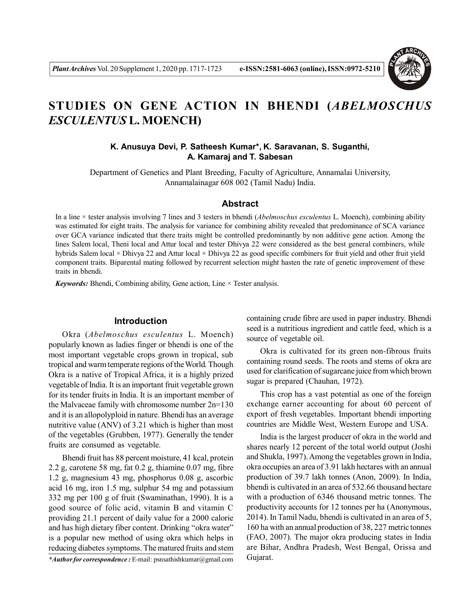

# **STUDIES ON GENE ACTION IN BHENDI (***ABELMOSCHUS ESCULENTUS* **L. MOENCH)**

# **K. Anusuya Devi, P. Satheesh Kumar\*, K. Saravanan, S. Suganthi, A. Kamaraj and T. Sabesan**

Department of Genetics and Plant Breeding, Faculty of Agriculture, Annamalai University, Annamalainagar 608 002 (Tamil Nadu) India.

#### **Abstract**

In a line × tester analysis involving 7 lines and 3 testers in bhendi (*Abelmoschus esculentus* L. Moench), combining ability was estimated for eight traits. The analysis for variance for combining ability revealed that predominance of SCA variance over GCA variance indicated that there traits might be controlled predominantly by non additive gene action. Among the lines Salem local, Theni local and Attur local and tester Dhivya 22 were considered as the best general combiners, while hybrids Salem local × Dhivya 22 and Attur local × Dhivya 22 as good specific combiners for fruit yield and other fruit yield component traits. Biparental mating followed by recurrent selection might hasten the rate of genetic improvement of these traits in bhendi.

*Keywords:* Bhendi, Combining ability, Gene action, Line × Tester analysis.

### **Introduction**

Okra (*Abelmoschus esculentus* L. Moench) popularly known as ladies finger or bhendi is one of the most important vegetable crops grown in tropical, sub tropical and warm temperate regions of the World. Though Okra is a native of Tropical Africa, it is a highly prized vegetable of India. It is an important fruit vegetable grown for its tender fruits in India. It is an important member of the Malvaceae family with chromosome number 2n=130 and it is an allopolyploid in nature. Bhendi has an average nutritive value (ANV) of 3.21 which is higher than most of the vegetables (Grubben, 1977). Generally the tender fruits are consumed as vegetable.

Bhendi fruit has 88 percent moisture, 41 kcal, protein 2.2 g, carotene 58 mg, fat 0.2 g, thiamine 0.07 mg, fibre 1.2 g, magnesium 43 mg, phosphorus 0.08 g, ascorbic acid 16 mg, iron 1.5 mg, sulphur 54 mg and potassium 332 mg per 100 g of fruit (Swaminathan, 1990). It is a good source of folic acid, vitamin B and vitamin C providing 21.1 percent of daily value for a 2000 calorie and has high dietary fiber content. Drinking "okra water" is a popular new method of using okra which helps in reducing diabetes symptoms. The matured fruits and stem

*\*Author for correspondence :* E-mail : psnsathishkumar@gmail.com

containing crude fibre are used in paper industry. Bhendi seed is a nutritious ingredient and cattle feed, which is a source of vegetable oil.

Okra is cultivated for its green non-fibrous fruits containing round seeds. The roots and stems of okra are used for clarification of sugarcane juice from which brown sugar is prepared (Chauhan, 1972).

This crop has a vast potential as one of the foreign exchange earner accounting for about 60 percent of export of fresh vegetables. Important bhendi importing countries are Middle West, Western Europe and USA.

India is the largest producer of okra in the world and shares nearly 12 percent of the total world output (Joshi and Shukla, 1997). Among the vegetables grown in India, okra occupies an area of 3.91 lakh hectares with an annual production of 39.7 lakh tonnes (Anon, 2009). In India, bhendi is cultivated in an area of 532.66 thousand hectare with a production of 6346 thousand metric tonnes. The productivity accounts for 12 tonnes per ha (Anonymous, 2014). In Tamil Nadu, bhendi is cultivated in an area of 5, 160 ha with an annual production of 38, 227 metric tonnes (FAO, 2007). The major okra producing states in India are Bihar, Andhra Pradesh, West Bengal, Orissa and Gujarat.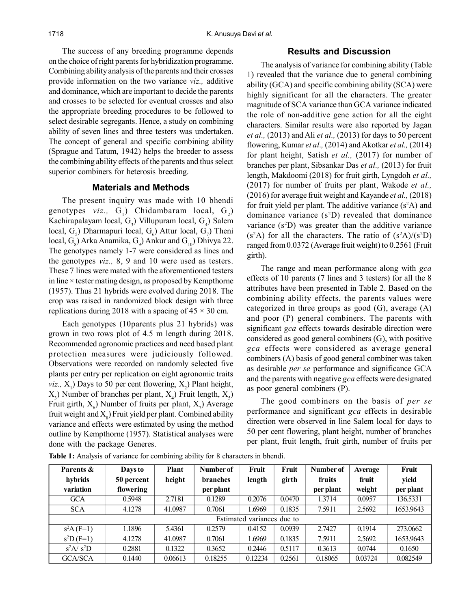The success of any breeding programme depends on the choice of right parents for hybridization programme. Combining ability analysis of the parents and their crosses provide information on the two variance *viz.,* additive and dominance, which are important to decide the parents and crosses to be selected for eventual crosses and also the appropriate breeding procedures to be followed to select desirable segregants. Hence, a study on combining ability of seven lines and three testers was undertaken. The concept of general and specific combining ability (Sprague and Tatum, 1942) helps the breeder to assess the combining ability effects of the parents and thus select superior combiners for heterosis breeding.

## **Materials and Methods**

The present inquiry was made with 10 bhendi genotypes  $viz.$ ,  $G_1$ ) Chidambaram local,  $G_2$ ) Kachirapalayam local,  $G_3$ ) Villupuram local,  $G_4$ ) Salem local,  $G_5$ ) Dharmapuri local,  $G_6$ ) Attur local,  $G_7$ ) Theni local,  $G_g$ ) Arka Anamika,  $G_g$ ) Ankur and  $G_{10}$ ) Dhivya 22. The genotypes namely 1-7 were considered as lines and the genotypes *viz.,* 8, 9 and 10 were used as testers. These 7 lines were mated with the aforementioned testers in line  $\times$  tester mating design, as proposed by Kempthorne (1957). Thus 21 hybrids were evolved during 2018. The crop was raised in randomized block design with three replications during 2018 with a spacing of  $45 \times 30$  cm.

Each genotypes (10parents plus 21 hybrids) was grown in two rows plot of 4.5 m length during 2018. Recommended agronomic practices and need based plant protection measures were judiciously followed. Observations were recorded on randomly selected five plants per entry per replication on eight agronomic traits *viz.*,  $X_1$ ) Days to 50 per cent flowering,  $X_2$ ) Plant height,  $(X_3)$  Number of branches per plant,  $X_4$ ) Fruit length,  $X_5$ ) Fruit girth,  $X_6$ ) Number of fruits per plant,  $X_7$ ) Average fruit weight and  $X_{\text{s}}$ ) Fruit yield per plant. Combined ability variance and effects were estimated by using the method outline by Kempthorne (1957). Statistical analyses were done with the package Generes.

# **Results and Discussion**

The analysis of variance for combining ability (Table 1) revealed that the variance due to general combining ability (GCA) and specific combining ability (SCA) were highly significant for all the characters. The greater magnitude of SCA variance than GCA variance indicated the role of non-additive gene action for all the eight characters. Similar results were also reported by Jagan *et al.,* (2013) and Ali *et al.,* (2013) for days to 50 percent flowering, Kumar *et al.,* (2014) and Akotkar *et al.,* (2014) for plant height, Satish *et al.,* (2017) for number of branches per plant, Sibsankar Das *et al.,* (2013) for fruit length, Makdoomi (2018) for fruit girth, Lyngdoh *et al.,* (2017) for number of fruits per plant, Wakode *et al.,* (2016) for average fruit weight and Kayande *et al.,* (2018) for fruit yield per plant. The additive variance (s <sup>2</sup>A) and dominance variance (s <sup>2</sup>D) revealed that dominance variance (s <sup>2</sup>D) was greater than the additive variance  $(s<sup>2</sup>A)$  for all the characters. The ratio of  $(s<sup>2</sup>A)/(s<sup>2</sup>D)$ ranged from 0.0372 (Average fruit weight) to 0.2561 (Fruit girth).

The range and mean performance along with *gca* effects of 10 parents (7 lines and 3 testers) for all the 8 attributes have been presented in Table 2. Based on the combining ability effects, the parents values were categorized in three groups as good  $(G)$ , average  $(A)$ and poor (P) general combiners. The parents with significant *gca* effects towards desirable direction were considered as good general combiners (G), with positive *gca* effects were considered as average general combiners (A) basis of good general combiner was taken as desirable *per se* performance and significance GCA and the parents with negative *gca* effects were designated as poor general combiners (P).

The good combiners on the basis of *per se* performance and significant *gca* effects in desirable direction were observed in line Salem local for days to 50 per cent flowering, plant height, number of branches per plant, fruit length, fruit girth, number of fruits per

| Parents &      | Days to    | <b>Plant</b> | Number of       | Fruit                      | Fruit  | Number of | <b>Average</b> | Fruit     |
|----------------|------------|--------------|-----------------|----------------------------|--------|-----------|----------------|-----------|
| hybrids        | 50 percent | height       | <b>branches</b> | length                     | girth  | fruits    | fruit          | yield     |
| variation      | flowering  |              | per plant       |                            |        | per plant | weight         | per plant |
| <b>GCA</b>     | 0.5948     | 2.7181       | 0.1289          | 0.2076                     | 0.0470 | 1.3714    | 0.0957         | 136.5331  |
| <b>SCA</b>     | 4.1278     | 41.0987      | 0.7061          | .6969                      | 0.1835 | 7.5911    | 2.5692         | 1653.9643 |
|                |            |              |                 | Estimated variances due to |        |           |                |           |
| $s^2A$ (F=1)   | 1.1896     | 5.4361       | 0.2579          | 0.4152                     | 0.0939 | 2.7427    | 0.1914         | 273,0662  |
| $s^2D$ (F=1)   | 4.1278     | 41.0987      | 0.7061          | 1.6969                     | 0.1835 | 7.5911    | 2.5692         | 1653.9643 |
| $s^2A/s^2D$    | 0.2881     | 0.1322       | 0.3652          | 0.2446                     | 0.5117 | 0.3613    | 0.0744         | 0.1650    |
| <b>GCA/SCA</b> | 0.1440     | 0.06613      | 0.18255         | 0.12234                    | 0.2561 | 0.18065   | 0.03724        | 0.082549  |

**Table 1:** Analysis of variance for combining ability for 8 characters in bhendi.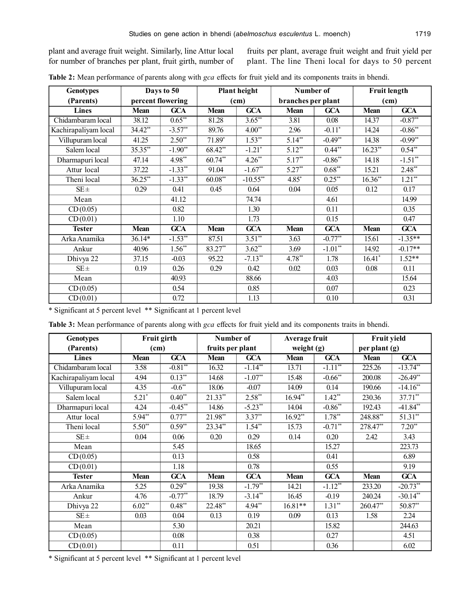plant and average fruit weight. Similarly, line Attur local for number of branches per plant, fruit girth, number of fruits per plant, average fruit weight and fruit yield per plant. The line Theni local for days to 50 percent

| <b>Genotypes</b>     |             | Days to 50        |             | Plant height          | Number of          |             | <b>Fruit length</b> |            |
|----------------------|-------------|-------------------|-------------|-----------------------|--------------------|-------------|---------------------|------------|
| (Parents)            |             | percent flowering |             | (cm)                  | branches per plant |             | (cm)                |            |
| <b>Lines</b>         | <b>Mean</b> | <b>GCA</b>        | <b>Mean</b> | <b>GCA</b>            | Mean               | <b>GCA</b>  | <b>Mean</b>         | <b>GCA</b> |
| Chidambaram local    | 38.12       | $0.65**$          | 81.28       | $3.65**$              | 3.81               | 0.08        | 14.37               | $-0.87**$  |
| Kachirapaliyam local | 34.42**     | $-3.57**$         | 89.76       | $4.00**$              | 2.96               | $-0.11*$    | 14.24               | $-0.86**$  |
| Villupuram local     | 41.25       | $2.50**$          | 71.89*      | $1.53**$              | $5.14**$           | $-0.49**$   | 14.38               | $-0.99**$  |
| Salem local          | 35.35**     | $-1.90**$         | 68.42**     | $-1.21$ <sup>*</sup>  | $5.12**$           | $0.44**$    | $16.23**$           | $0.54**$   |
| Dharmapuri local     | 47.14       | $4.98**$          | $60.74**$   | $4.26**$              | $5.17**$           | $-0.86**$   | 14.18               | $-1.51**$  |
| Attur local          | 37.22       | $-1.33**$         | 91.04       | $-1.67**$             | $5.27**$           | $0.68$ **   | 15.21               | $2.48**$   |
| Theni local          | $36.25**$   | $-1.33**$         | $60.08**$   | $-10.55**$            | $4.85*$            | $0.25^{**}$ | $16.36**$           | $1.21**$   |
| $SE \pm$             | 0.29        | 0.41              | 0.45        | 0.64                  | 0.04               | 0.05        | 0.12                | 0.17       |
| Mean                 |             | 41.12             |             | 74.74                 |                    | 4.61        |                     | 14.99      |
| CD(0.05)             |             | 0.82              |             | 1.30                  |                    | 0.11        |                     | 0.35       |
| CD(0.01)             |             | 1.10              |             | 1.73                  |                    | 0.15        |                     | 0.47       |
| <b>Tester</b>        | Mean        | <b>GCA</b>        | <b>Mean</b> | <b>GCA</b>            | Mean               | <b>GCA</b>  | <b>Mean</b>         | <b>GCA</b> |
| Arka Anamika         | $36.14*$    | $-1.53**$         | 87.51       | $3.51**$              | 3.63               | $-0.77**$   | 15.61               | $-1.35**$  |
| Ankur                | 40.96       | $1.56**$          | 83.27**     | $3.62**$              | 3.69               | $-1.01**$   | 14.92               | $-0.17**$  |
| Dhivya 22            | 37.15       | $-0.03$           | 95.22       | $-7.13$ <sup>**</sup> | $4.78**$           | 1.78        | $16.41*$            | $1.52**$   |
| $SE \pm$             | 0.19        | 0.26              | 0.29        | 0.42                  | 0.02               | 0.03        | 0.08                | 0.11       |
| Mean                 |             | 40.93             |             | 88.66                 |                    | 4.03        |                     | 15.64      |
| CD(0.05)             |             | 0.54              |             | 0.85                  |                    | 0.07        |                     | 0.23       |
| CD(0.01)             |             | 0.72              |             | 1.13                  |                    | 0.10        |                     | 0.31       |

**Table 2:** Mean performance of parents along with *gca* effects for fruit yield and its components traits in bhendi.

\* Significant at 5 percent level \*\* Significant at 1 percent level

**Table 3:** Mean performance of parents along with *gca* effects for fruit yield and its components traits in bhendi.

| <b>Genotypes</b>     |             | Fruit girth | Number of        |              | Average fruit |                       | Fruit yield   |                  |
|----------------------|-------------|-------------|------------------|--------------|---------------|-----------------------|---------------|------------------|
| (Parents)            | (cm)        |             | fruits per plant |              | weight (g)    |                       | per plant (g) |                  |
| <b>Lines</b>         | <b>Mean</b> | <b>GCA</b>  | <b>Mean</b>      | <b>GCA</b>   | <b>Mean</b>   | <b>GCA</b>            | <b>Mean</b>   | $\overline{GCA}$ |
| Chidambaram local    | 3.58        | $-0.81**$   | 16.32            | $-1.14**$    | 13.71         | $-1.11$ <sup>**</sup> | 225.26        | $-13.74**$       |
| Kachirapaliyam local | 4.94        | $0.13^{**}$ | 14.68            | $-1.07**$    | 15.48         | $-0.66$ <sup>**</sup> | 200.08        | $-26.49**$       |
| Villupuram local     | 4.35        | $-0.6***$   | 18.06            | $-0.07$      | 14.09         | 0.14                  | 190.66        | $-14.16**$       |
| Salem local          | $5.21*$     | $0.40**$    | $21.33**$        | $2.58**$     | $16.94**$     | $1.42**$              | 230.36        | 37.71**          |
| Dharmapuri local     | 4.24        | $-0.45$ **  | 14.86            | $-5.23**$    | 14.04         | $-0.86**$             | 192.43        | $-41.84**$       |
| Attur local          | $5.94**$    | $0.77**$    | $21.98$ **       | $3.37**$     | $16.92**$     | $1.78**$              | 248.88**      | $51.31**$        |
| Theni local          | $5.50^{**}$ | $0.59**$    | $23.34$ **       | $1.54^{**}$  | 15.73         | $-0.71**$             | 278.47**      | $7.20**$         |
| $SE \pm$             | 0.04        | 0.06        | 0.20             | 0.29         | 0.14          | 0.20                  | 2.42          | 3.43             |
| Mean                 |             | 5.45        |                  | 18.65        |               | 15.27                 |               | 223.73           |
| CD(0.05)             |             | 0.13        |                  | 0.58         |               | 0.41                  |               | 6.89             |
| CD(0.01)             |             | 1.18        |                  | 0.78         |               | 0.55                  |               | 9.19             |
| <b>Tester</b>        | Mean        | <b>GCA</b>  | Mean             | <b>GCA</b>   | <b>Mean</b>   | <b>GCA</b>            | <b>Mean</b>   | <b>GCA</b>       |
| Arka Anamika         | 5.25        | $0.29**$    | 19.38            | $-1.79^{**}$ | 14.21         | $-1.12**$             | 233.20        | $-20.73**$       |
| Ankur                | 4.76        | $-0.77**$   | 18.79            | $-3.14**$    | 16.45         | $-0.19$               | 240.24        | $-30.14**$       |
| Dhivya 22            | $6.02**$    | $0.48**$    | 22.48**          | 4.94**       | $16.81**$     | $1.31**$              | 260.47**      | $50.87**$        |
| $SE \pm$             | 0.03        | 0.04        | 0.13             | 0.19         | 0.09          | 0.13                  | 1.58          | 2.24             |
| Mean                 |             | 5.30        |                  | 20.21        |               | 15.82                 |               | 244.63           |
| CD(0.05)             |             | 0.08        |                  | 0.38         |               | 0.27                  |               | 4.51             |
| CD(0.01)             |             | 0.11        |                  | 0.51         |               | 0.36                  |               | 6.02             |

\* Significant at 5 percent level \*\* Significant at 1 percent level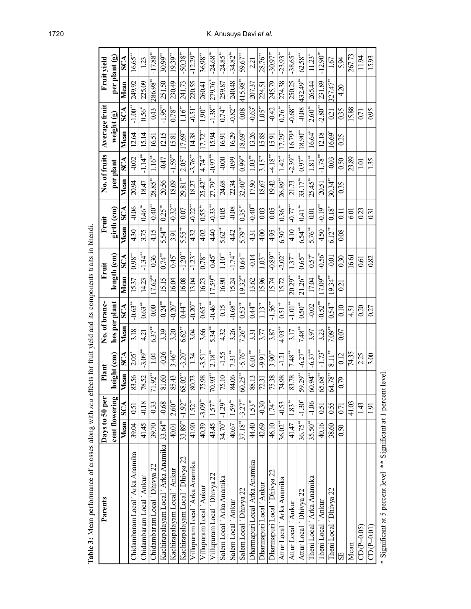| and the strong correct in the property of the strong model is a set of the set of the set of the set of the set of the set of the set of the set of the set of the set of the set of the set of the set of the set of the set<br>Parents |            | Days to 50 per        | Plant       |            | No. of branc- | money in the property with the complete the control of the control of the control of the control of the control of the control of the control of the control of the control of the control of the control of the control of th |                 | Fruit                | Fruit          |                       |                       | No. of fruits          |            | Average fruit          |             | Fruit yield                       |
|------------------------------------------------------------------------------------------------------------------------------------------------------------------------------------------------------------------------------------------|------------|-----------------------|-------------|------------|---------------|--------------------------------------------------------------------------------------------------------------------------------------------------------------------------------------------------------------------------------|-----------------|----------------------|----------------|-----------------------|-----------------------|------------------------|------------|------------------------|-------------|-----------------------------------|
|                                                                                                                                                                                                                                          |            | cent flowering        | height (cm) |            | hes per plant |                                                                                                                                                                                                                                | $length$ $(cm)$ |                      |                | girth (cm)            |                       | per plant              | weight (g) |                        |             | per plant (g)                     |
|                                                                                                                                                                                                                                          | Mean       | <b>SCA</b>            | Mean        | SCA        | Mean          |                                                                                                                                                                                                                                | Mean            | SCA                  | Mean           | $\rm _S\rm C$         | Mean                  | $\mathbb{S}\mathbb{C}$ | Mean       | $\mathbb{S}\mathbb{C}$ | Mean        | $\mathcal{S}\mathbf{C}\mathbf{A}$ |
| Chidambaram Local ´ Arka Anamika                                                                                                                                                                                                         | 39.04      | 0.51                  | 83.56       | $2.05*$    | 3.18          | $-0.63**$                                                                                                                                                                                                                      | 1537            | $0.98***$            | 430            | $-0.06$               | 20.94                 | $-0.02$                | 12.64      | $-1.00**$              | 249.92      | $16.65***$                        |
| Chidambaram Local 'Ankur                                                                                                                                                                                                                 | 41.45      | $-0.18$               | 78.52       | $-3.09***$ | 4.21          | $0.63^\ast$                                                                                                                                                                                                                    | 14.23           | -1.34*               | 3.75           | $0.46$ **             | 18.47                 | $-1.14$                | 15.14      | $0.56^\ast$            | 225.09      | 123                               |
| Chidambaram Local ' Dhivya 22                                                                                                                                                                                                            | 39.70      | $-0.33$               | 71.92**     | 1.04       | $6.37***$     | $\mathfrak{S}$                                                                                                                                                                                                                 | $17.62**$       | 0.36                 | 4.15           | $-0.40$               | $28.85***$            | $1.16**$               | 16.51      | 0.43                   | $286.98***$ | $-17.88$ <sup>**</sup>            |
| Kachirapalayam Local ' Arka Anamika 33.64 <sup>**</sup>                                                                                                                                                                                  |            | $-0.68$               | 81.60       | $-0.26$    | 3.39          | *<br>-0.24                                                                                                                                                                                                                     | 15.15           | $0.74$ <sup>**</sup> | $5.54***$      | $0.25***$             | 20.56                 | $-0.47$                | 12.15      | $-1.95**$              | 251.50      | $30.99***$                        |
| Kachirapalayam Local ' Ankur                                                                                                                                                                                                             | 40.01      | $2.60**$              | 85.43       | $3.46$ **  | 3.20          | $-0.20$ <sup>**</sup>                                                                                                                                                                                                          | 16.04           | $0.45^*$             | 3.91           | $-0.32$ <sup>**</sup> | 18.09                 | $-1.59$                | 15.81      | $0.78***$              | 230.49      | $19.39***$                        |
| Kachirapalayam Local ' Dhivya 22                                                                                                                                                                                                         | $33.89**$  | $-1.92$ <sup>**</sup> | 68.02**     | $-3.20**$  | $6.62**$      | $0.44$ <sup>**</sup>                                                                                                                                                                                                           | 16.08           | $-1.20**$            | $5.55**$       | 0.07                  | 29.81**               | $2.05**$               | $17.69***$ | $1.16$ <sup>**</sup>   | 241.73      | $-50.38**$                        |
| Villupuram Local ' Arka Anamika                                                                                                                                                                                                          | 41.90      | $1.52**$              | 80.73       | 134        | 3.Q4          | $-0.20$ <sup>**</sup>                                                                                                                                                                                                          | 13.04           | $-1.23$              | 432            | $-0.22$ <sup>**</sup> | 18.27                 | $-3.76**$              | 14.38      | $-0.51$ <sup>*</sup>   | 220.55      | $-12.29$ <sup>**</sup>            |
| Villupuram Local ' Ankur                                                                                                                                                                                                                 | 40.39      | $-3.09***$            | 75.98       | $-3.51***$ | 3.66          | $0.65**$                                                                                                                                                                                                                       | 16.23           | $0.78***$            | 4.02           | $0.55$ <sup>**</sup>  | $25.42$ <sup>**</sup> | $4.74***$              | $17.72***$ | $1.90**$               | 260.41      | $36.98***$                        |
| Villupuram Local 'Dhivya 22                                                                                                                                                                                                              | 43.45      | $1.57$ <sup>**</sup>  | $70.93***$  | $2.18**$   | $5.34**$      | $-0.46$                                                                                                                                                                                                                        | $17.59^{\ast}$  | $0.45$ <sup>*</sup>  | $\frac{40}{3}$ | $-0.33**$             | 27.79**               | -60.0-                 | 15.94      | $-1.38***$             | 279.76*     | $-24.68$ <sup>**</sup>            |
| Salem Local ' Arka Anamika                                                                                                                                                                                                               | 34.70**    | $ -1.29***$           | 75.10       | $-1.55$    | 4.32          | 0.15                                                                                                                                                                                                                           | 16.90           | $1.10***$            | $5.62**$       | 0.05                  | 24.68                 | 0.00                   | 16.91      | $0.74$ **              | 259.87      | $-24.85$ <sup>**</sup>            |
| Salem Local 'Ankur                                                                                                                                                                                                                       | 40.67      | $1.59**$              | 84.06       | $7.31**$   | 3.26          | $-0.68**$                                                                                                                                                                                                                      | 15.24           | $-1.74$ **           | 442            | $-0.08$               | 22.34                 | $-0.99$                | 16.29      | $-0.82**$              | 240.48      | $-34.82$ <sup>**</sup>            |
| Salem Local 'Dhivya 22                                                                                                                                                                                                                   | $37.18**$  | $-3.27***$            | $60.25***$  | $-5.76$ ** | $7.26**$      | $0.53***$                                                                                                                                                                                                                      | $19.32***$      | $0.64**$             | $5.79***$      | $0.35***$             | $32.40^{\ast\ast}$    | $0.99***$              | $18.69**$  | 0.08                   | $415.98***$ | 59.67**                           |
| Dharmapuri Local Arka Anamika                                                                                                                                                                                                            | 44.40      | $1.53**$              | 88.13       | $6.01***$  | 3.31          | 0.44                                                                                                                                                                                                                           | 13.62           | $-0.14$              | $^{4.31}$      | $-0.40$ <sup>**</sup> | 17.90                 | $1.03**$               | 1326       | $-0.63$                | 207.37      | 2.21                              |
| Dharmapuri Local ' Ankur                                                                                                                                                                                                                 | 42.69      | $-0.30$               | 72.31       | $-9.91***$ | 3.77          | $1.13**$                                                                                                                                                                                                                       | 15.96           | $1.03***$            | 4.00           | 0.03                  | 18.67                 | $3.15**$               | 15.88      | $1.05***$              | 224.51      | $28.76***$                        |
| Dharmapuri Local ' Dhivya 22                                                                                                                                                                                                             | 46.10      | $1.74$ **             | 75.38       | $3.90**$   | 3.87          | $-1.56$ <sup>**</sup>                                                                                                                                                                                                          | 15.74           | $-0.89**$            | 4.95           | 0.05                  | 19.42                 | $-4.18**$              | 15.91      | $-0.42$                | 245.79      | $-30.97$ <sup>**</sup>            |
| Attur Local ´ Arka Anamika                                                                                                                                                                                                               | $36.02**$  | $-0.53$               | 74.98       | $-121$     | $4.93**$      | $0.51**$                                                                                                                                                                                                                       | 15.72           | $-2.02**$            | $6.30***$      | $0.36***$             | $26.89**$             | $1.42**$               | $17.29***$ | $0.76$ **              | 274.38      | $-23.93**$                        |
| Attur Local ' Ankur                                                                                                                                                                                                                      | 41.47      | $1.83**$              | 83.78       | $7.48**$   | 3.17          | $-1.01**$                                                                                                                                                                                                                      | $20.29***$      | $1.37***$            | 4.10           | -0.77                 | 21.73                 | $-2.39***$             | 16.79*     | $-0.68***$             | 250.25      | $-38.65**$                        |
| Attur Local 'Dhivya 22                                                                                                                                                                                                                   | $36.75***$ | $-1.30*$              | $59.29***$  | $-6.27$ ** | $7.48**$      | $0.50**$                                                                                                                                                                                                                       | $21.26^{**}$    | $0.65***$            | $6.54**$       | $0.41**$              | $33.17**$             | $0.97***$              | $18.90***$ | $-0.08$                | 432.49**    | $62.58***$                        |
| Theni Local ' Arka Anamika                                                                                                                                                                                                               | $35.50**$  | $-1.06$               | $60.94***$  | $-6.37$ ** | 3.97          | $-0.02$                                                                                                                                                                                                                        | 17.04           | 0.57                 | 5.76**         | 0.01                  | $25.45**$             | $1.81**$               | 16.64*     | $2.60**$               | 265.44      | $11.23*$                          |
| Theni Local ' Ankur                                                                                                                                                                                                                      | 40.16      | 0.51                  | $ 65.68**$  | $-1.73*$   | 323           | $-0.52$ <sup>**</sup>                                                                                                                                                                                                          | $17.09***$      | $-0.56$ <sup>*</sup> | 4.50           | -0.19*                | 20.51                 | $-1.78**$              | 12.18      | $-2.80**$              | 231.89      | $-12.90**$                        |
| Theni Local ' Dhivya 22                                                                                                                                                                                                                  | 38.60      | 0.55                  | $64.78***$  | $8.11**$   | $7.09***$     | 0.54                                                                                                                                                                                                                           | $19.34**$       | Ξg                   | $6.12**$       | $0.18^*$              | 30.34**               | $-0.03$                | 16.69*     | $\bar{\rm s}$          | $327.47***$ | 1.67                              |
| 5                                                                                                                                                                                                                                        | 0.50       | 0.71                  | 0.79        | 0.12       | 0.07          | 0.10                                                                                                                                                                                                                           | $\overline{2}$  | 0.30                 | 0.08           | $\Xi$                 | 0.35                  | 0.50                   | 0.25       | 0.35                   | 4.20        | 5.94                              |
| Mean                                                                                                                                                                                                                                     |            | 41.03                 |             | 74.35      |               | 4.51                                                                                                                                                                                                                           |                 | 16.61                |                | 6.01                  |                       | 23.89                  |            | 15.88                  |             | 267.73                            |
| $CD(P=0.05)$                                                                                                                                                                                                                             |            | 143                   |             | 2.25       |               | 020                                                                                                                                                                                                                            |                 | 0.61                 |                | 0.23                  |                       | 1.01                   |            | $\overline{0.71}$      |             | 11.94                             |
| $CD(P=0.01$                                                                                                                                                                                                                              |            | 1.91                  |             | 3.00       |               | 027                                                                                                                                                                                                                            |                 | 0.82                 |                | $\overline{0}3$       |                       | 1.35                   |            | 0.95                   |             | 15.93                             |
|                                                                                                                                                                                                                                          |            |                       |             |            |               |                                                                                                                                                                                                                                |                 |                      |                |                       |                       |                        |            |                        |             |                                   |

Table 3: Mean performance of crosses along with sea effects for fruit vield and its components traits in bhendi **Table 3:** Mean performance of crosses along with *sca* effects for fruit yield and its components traits in bhendi.

\* Significant at 5 percent level \*\* Significant at 1 percent level. \* Significant at 5 percent level \*\* Significant at 1 percent level.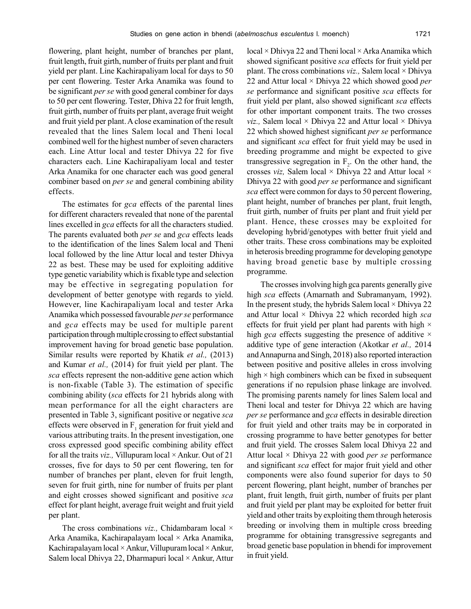flowering, plant height, number of branches per plant, fruit length, fruit girth, number of fruits per plant and fruit yield per plant. Line Kachirapaliyam local for days to 50 per cent flowering. Tester Arka Anamika was found to be significant *per se* with good general combiner for days to 50 per cent flowering. Tester, Dhiva 22 for fruit length, fruit girth, number of fruits per plant, average fruit weight and fruit yield per plant. A close examination of the result revealed that the lines Salem local and Theni local combined well for the highest number of seven characters each. Line Attur local and tester Dhivya 22 for five characters each. Line Kachirapaliyam local and tester Arka Anamika for one character each was good general combiner based on *per se* and general combining ability effects.

The estimates for *gca* effects of the parental lines for different characters revealed that none of the parental lines excelled in *gca* effects for all the characters studied. The parents evaluated both *per se* and *gca* effects leads to the identification of the lines Salem local and Theni local followed by the line Attur local and tester Dhivya 22 as best. These may be used for exploiting additive type genetic variability which is fixable type and selection may be effective in segregating population for development of better genotype with regards to yield. However, line Kachirapaliyam local and tester Arka Anamika which possessed favourable *per se* performance and *gca* effects may be used for multiple parent participation through multiple crossing to effect substantial improvement having for broad genetic base population. Similar results were reported by Khatik *et al.,* (2013) and Kumar *et al.,* (2014) for fruit yield per plant. The *sca* effects represent the non-additive gene action which is non-fixable (Table 3). The estimation of specific combining ability (*sca* effects for 21 hybrids along with mean performance for all the eight characters are presented in Table 3, significant positive or negative *sca* effects were observed in  $F_1$  generation for fruit yield and various attributing traits. In the present investigation, one cross expressed good specific combining ability effect for all the traits *viz.,* Villupuram local × Ankur. Out of 21 crosses, five for days to 50 per cent flowering, ten for number of branches per plant, eleven for fruit length, seven for fruit girth, nine for number of fruits per plant and eight crosses showed significant and positive *sca* effect for plant height, average fruit weight and fruit yield per plant.

The cross combinations *viz.*, Chidambaram local × Arka Anamika, Kachirapalayam local × Arka Anamika, Kachirapalayam local  $\times$  Ankur, Villupuram local  $\times$  Ankur, Salem local Dhivya 22, Dharmapuri local × Ankur, Attur local  $\times$  Dhivya 22 and Theni local  $\times$  Arka Anamika which showed significant positive *sca* effects for fruit yield per plant. The cross combinations *viz.,* Salem local × Dhivya 22 and Attur local × Dhivya 22 which showed good *per se* performance and significant positive *sca* effects for fruit yield per plant, also showed significant *sca* effects for other important component traits. The two crosses *viz.,* Salem local  $\times$  Dhivya 22 and Attur local  $\times$  Dhivya 22 which showed highest significant *per se* performance and significant *sca* effect for fruit yield may be used in breeding programme and might be expected to give transgressive segregation in  $F_2$ . On the other hand, the crosses *viz,* Salem local × Dhivya 22 and Attur local × Dhivya 22 with good *per se* performance and significant *sca* effect were common for days to 50 percent flowering, plant height, number of branches per plant, fruit length, fruit girth, number of fruits per plant and fruit yield per plant. Hence, these crosses may be exploited for developing hybrid/genotypes with better fruit yield and other traits. These cross combinations may be exploited in heterosis breeding programme for developing genotype having broad genetic base by multiple crossing programme.

The crosses involving high gca parents generally give high *sca* effects (Amarnath and Subramanyam, 1992). In the present study, the hybrids Salem local  $\times$  Dhivya 22 and Attur local × Dhivya 22 which recorded high *sca* effects for fruit yield per plant had parents with high  $\times$ high *gca* effects suggesting the presence of additive  $\times$ additive type of gene interaction (Akotkar *et al.,* 2014 and Annapurna and Singh, 2018) also reported interaction between positive and positive alleles in cross involving high  $\times$  high combiners which can be fixed in subsequent generations if no repulsion phase linkage are involved. The promising parents namely for lines Salem local and Theni local and tester for Dhivya 22 which are having *per se* performance and *gca* effects in desirable direction for fruit yield and other traits may be in corporated in crossing programme to have better genotypes for better and fruit yield. The crosses Salem local Dhivya 22 and Attur local × Dhivya 22 with good *per se* performance and significant *sca* effect for major fruit yield and other components were also found superior for days to 50 percent flowering, plant height, number of branches per plant, fruit length, fruit girth, number of fruits per plant and fruit yield per plant may be exploited for better fruit yield and other traits by exploiting them through heterosis breeding or involving them in multiple cross breeding programme for obtaining transgressive segregants and broad genetic base population in bhendi for improvement in fruit yield.